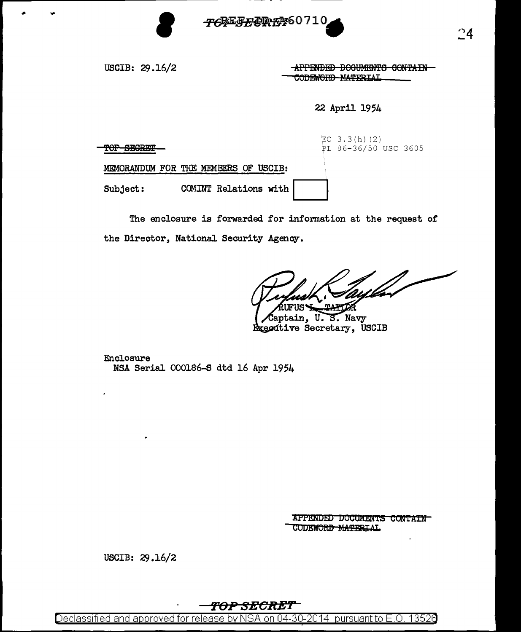

USCIB: 29.16/2

APPENDED DOCUMENTS CONTAIN CODEWORD MATERIAL

22 April 1954

| <del>וו</del> התחשבים בבסמט<br><b>LANGARET</b> |                                      | EO $3.3(h)(2)$<br>PL 86-36/50 USC 3605 |
|------------------------------------------------|--------------------------------------|----------------------------------------|
|                                                | MEMORANDUM FOR THE MEMBERS OF USCIB: |                                        |
| Subject:                                       | COMINT Relations with                |                                        |

The enclosure is forwarded for information at the request of the Director, National Security Agency.

aptain, U.S. Navy Executive Secretary, USCIB

Enclosure NSA Serial 000186-S dtd 16 Apr 1954

> APPENDED DOCUMENTS CONTAIN CODEWORD MATERIAL

USCIB: 29.16/2

## TOP SECRET

Declassified and approved for release by NSA on 04-30-2014 pursuant to E.O. 13526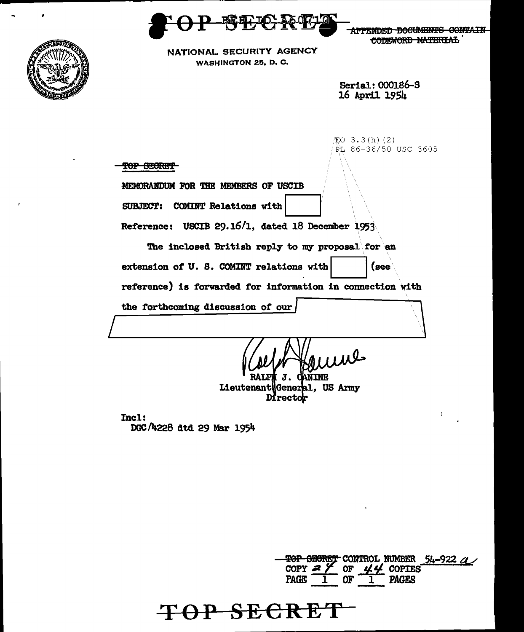

**APPENDED DOCUMENTS CONTAIN** CODEWORD MATERIAL



NATIONAL SECURITY AGENCY WASHINGTON 25, D. C.

> Serial: 000186-S 16 April 1954

 $EO$  3.3 $(h)$  (2) PL 86-36/50 USC 3605 TOP SECRET MEMORANDUM FOR THE MEMBERS OF USCIB SUBJECT: COMINT Relations with Reference: USCIB 29.16'1, dated 18 December 1953 The inclosed British reply to my proposal for an extension of U. S. COMINT relations with  $|(see$ reference) is forwarded for information in connection with the forthcoming discussion of our TNF.

Lieutenant General, US Army Director

Incl: DGC /4228 dtd 29 Mar 195lt.

**TOP SECRE** 

'!0P ~ CONTROL ltJMBER 54-922 4< COPY  $27$  or  $44$  copies<br>PAGE  $1$  or  $1$  pages **PAGES**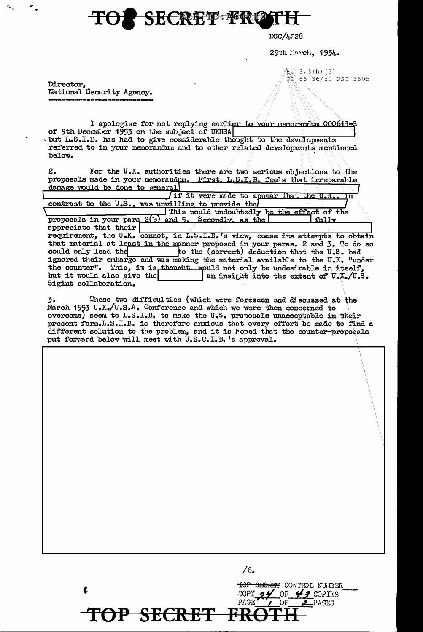## SECRET PRO

DGC/4-28

29th linroh, 1954.

 $EQ$  3.3(h)(2)

Rt 86-36/50 USC 3605

Director, National Security Agency.

I apologise for not replying earlier to vour memorandum OCO613-S of 9th December 1953 on the subject of UKUSA . but L.S.I.B. has had to give considerable thought to the developments referred to in your memorandum and to other related developments mentioned below.

 $2.$ For the U.K. authorities there are two serious objections to the proposals made in your memorandum. First, L.S.I.B. feels that irreparable damage would be done to general

In it were made to appear that the U.K.. contrast to the U.S., was unwilling to provide the I This would undoubtedly be the effect of the 2(b) and 5. Secondly, as the proposals in your para fully

appreciate that their requirement, the U.K. cannot, in L.S.I.B. s view, cease its attempts to obtain that material at least in the manner proposed in your paras. 2 and 3. To do so to the (correct) deduction that the U.S. had could only lead the ignored their embargo and was making the material available to the U.K. "under the counter". This, it is thought. would not only be undesirable in itself, but it would also give the an insight into the extent of U.K./U.S. Sigint collaboration.

These two difficulties (which were foreseen and discussed at the 3. March 1953 U.K./U.S.A. Conference and which we were then concerned to overcome) seem to L.S.I.B. to make the U.S. proposals unacceptable in their present form.L.S.I.B. is therefore anxious that every effort be made to find a different solution to the problem, and it is hoped that the counter-proposals put forward below will meet with U.S.C.I.B.'s approval.

76. TOP SECRET CONTROL NUMBER f. COPY  $\partial$   $\mathscr{U}$  OF  $\mathscr{L}$  2 COPIES PAGE OF PACES P SECRET